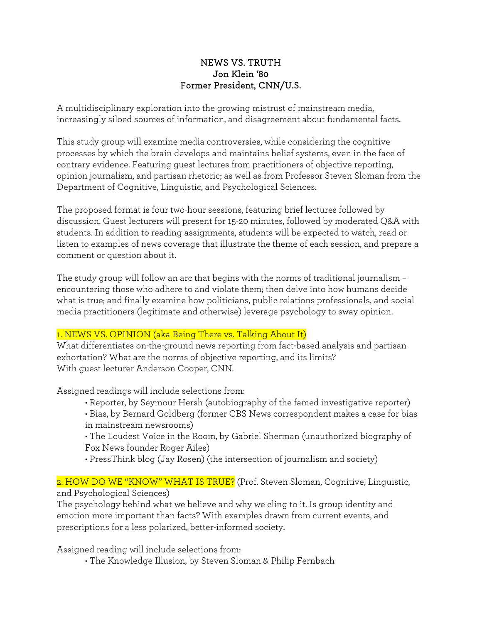## NEWS VS. TRUTH Jon Klein '80 Former President, CNN/U.S.

A multidisciplinary exploration into the growing mistrust of mainstream media, increasingly siloed sources of information, and disagreement about fundamental facts.

This study group will examine media controversies, while considering the cognitive processes by which the brain develops and maintains belief systems, even in the face of contrary evidence. Featuring guest lectures from practitioners of objective reporting, opinion journalism, and partisan rhetoric; as well as from Professor Steven Sloman from the Department of Cognitive, Linguistic, and Psychological Sciences.

The proposed format is four two-hour sessions, featuring brief lectures followed by discussion. Guest lecturers will present for 15-20 minutes, followed by moderated Q&A with students. In addition to reading assignments, students will be expected to watch, read or listen to examples of news coverage that illustrate the theme of each session, and prepare a comment or question about it.

The study group will follow an arc that begins with the norms of traditional journalism – encountering those who adhere to and violate them; then delve into how humans decide what is true; and finally examine how politicians, public relations professionals, and social media practitioners (legitimate and otherwise) leverage psychology to sway opinion.

# 1. NEWS VS. OPINION (aka Being There vs. Talking About It)

What differentiates on-the-ground news reporting from fact-based analysis and partisan exhortation? What are the norms of objective reporting, and its limits? With guest lecturer Anderson Cooper, CNN.

Assigned readings will include selections from:

- Reporter, by Seymour Hersh (autobiography of the famed investigative reporter)
- Bias, by Bernard Goldberg (former CBS News correspondent makes a case for bias in mainstream newsrooms)
- The Loudest Voice in the Room, by Gabriel Sherman (unauthorized biography of Fox News founder Roger Ailes)
- PressThink blog (Jay Rosen) (the intersection of journalism and society)

#### 2. HOW DO WE "KNOW" WHAT IS TRUE? (Prof. Steven Sloman, Cognitive, Linguistic, and Psychological Sciences)

The psychology behind what we believe and why we cling to it. Is group identity and emotion more important than facts? With examples drawn from current events, and prescriptions for a less polarized, better-informed society.

Assigned reading will include selections from:

• The Knowledge Illusion, by Steven Sloman & Philip Fernbach